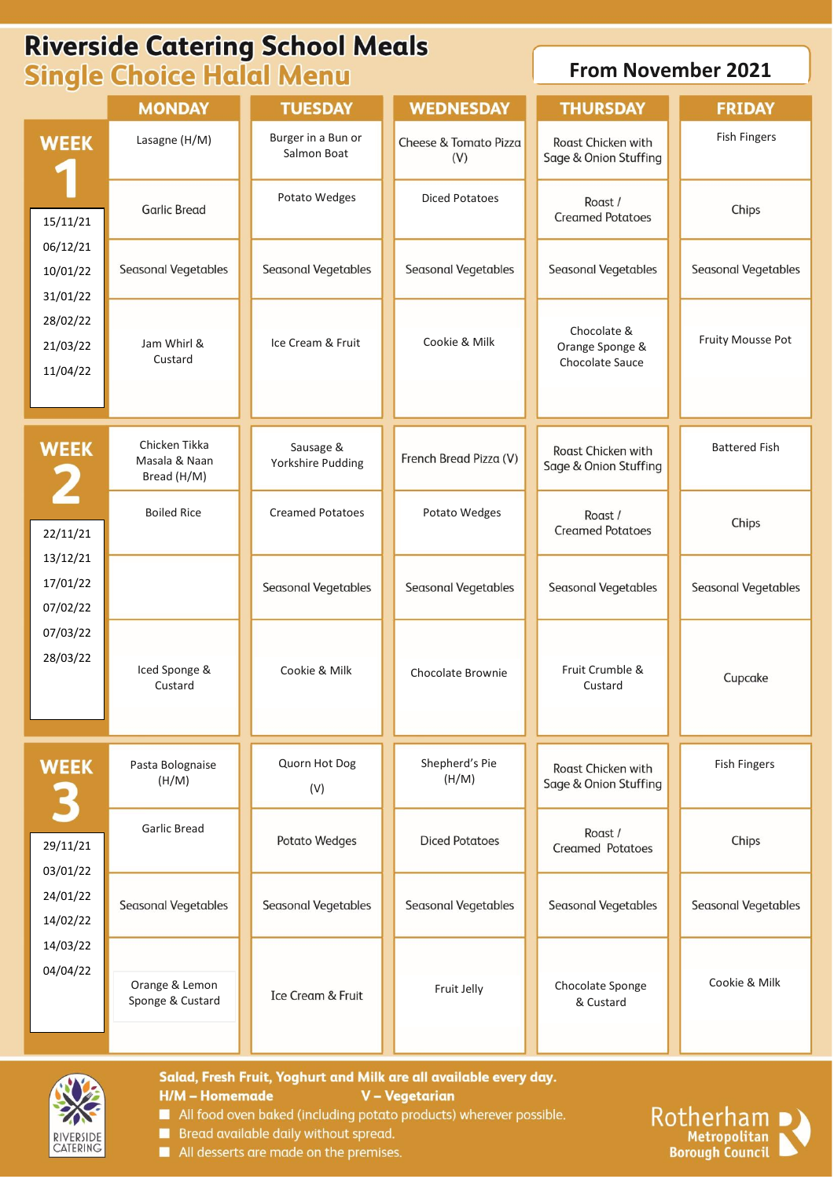# **Riverside Catering School Meals Single Choice Halal Menu**

## **From November 2021**

|                                                                                                 | <b>MONDAY</b>                                 | <b>TUESDAY</b>                    | <b>WEDNESDAY</b>             | <b>THURSDAY</b>                                   | <b>FRIDAY</b>              |
|-------------------------------------------------------------------------------------------------|-----------------------------------------------|-----------------------------------|------------------------------|---------------------------------------------------|----------------------------|
| <b>WEEK</b><br>15/11/21<br>06/12/21<br>10/01/22<br>31/01/22<br>28/02/22<br>21/03/22<br>11/04/22 | Lasagne (H/M)                                 | Burger in a Bun or<br>Salmon Boat | Cheese & Tomato Pizza<br>(V) | Roast Chicken with<br>Sage & Onion Stuffing       | <b>Fish Fingers</b>        |
|                                                                                                 | <b>Garlic Bread</b>                           | Potato Wedges                     | <b>Diced Potatoes</b>        | Roast /<br><b>Creamed Potatoes</b>                | Chips                      |
|                                                                                                 | Seasonal Vegetables                           | Seasonal Vegetables               | Seasonal Vegetables          | Seasonal Vegetables                               | <b>Seasonal Vegetables</b> |
|                                                                                                 | Jam Whirl &<br>Custard                        | Ice Cream & Fruit                 | Cookie & Milk                | Chocolate &<br>Orange Sponge &<br>Chocolate Sauce | Fruity Mousse Pot          |
| <b>WEEK</b><br>2<br>22/11/21<br>13/12/21<br>17/01/22<br>07/02/22<br>07/03/22<br>28/03/22        | Chicken Tikka<br>Masala & Naan<br>Bread (H/M) | Sausage &<br>Yorkshire Pudding    | French Bread Pizza (V)       | Roast Chicken with<br>Sage & Onion Stuffing       | <b>Battered Fish</b>       |
|                                                                                                 | <b>Boiled Rice</b>                            | <b>Creamed Potatoes</b>           | Potato Wedges                | Roast /<br><b>Creamed Potatoes</b>                | Chips                      |
|                                                                                                 |                                               | Seasonal Vegetables               | <b>Seasonal Vegetables</b>   | <b>Seasonal Vegetables</b>                        | <b>Seasonal Vegetables</b> |
|                                                                                                 | Iced Sponge &<br>Custard                      | Cookie & Milk                     | Chocolate Brownie            | Fruit Crumble &<br>Custard                        | Cupcake                    |
| <b>WEEK</b><br>3                                                                                | Pasta Bolognaise<br>(H/M)                     | Quorn Hot Dog<br>(V)              | Shepherd's Pie<br>(H/M)      | Roast Chicken with<br>Sage & Onion Stuffing       | <b>Fish Fingers</b>        |
| 29/11/21<br>03/01/22<br>24/01/22<br>14/02/22<br>14/03/22<br>04/04/22                            | Garlic Bread                                  | Potato Wedges                     | <b>Diced Potatoes</b>        | Roast /<br><b>Creamed Potatoes</b>                | Chips                      |
|                                                                                                 | Seasonal Vegetables                           | Seasonal Vegetables               | Seasonal Vegetables          | Seasonal Vegetables                               | Seasonal Vegetables        |
|                                                                                                 | Orange & Lemon<br>Sponge & Custard            | Ice Cream & Fruit                 | Fruit Jelly                  | Chocolate Sponge<br>& Custard                     | Cookie & Milk              |



Salad, Fresh Fruit, Yoghurt and Milk are all available every day. V - Vegetarian **H/M - Homemade** 

- All food oven baked (including potato products) wherever possible.
- Bread available daily without spread.
- All desserts are made on the premises.